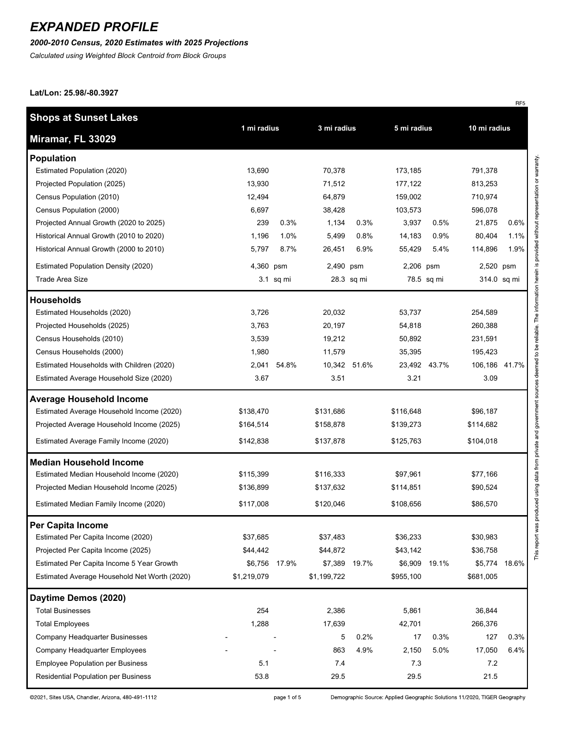#### *2000-2010 Census, 2020 Estimates with 2025 Projections*

*Calculated using Weighted Block Centroid from Block Groups*

**Lat/Lon: 25.98/-80.3927**

| <b>Shops at Sunset Lakes</b>                 |             |           |             |              |             |              |               |      |
|----------------------------------------------|-------------|-----------|-------------|--------------|-------------|--------------|---------------|------|
| Miramar, FL 33029                            | 1 mi radius |           | 3 mi radius |              | 5 mi radius |              | 10 mi radius  |      |
| <b>Population</b>                            |             |           |             |              |             |              |               |      |
| Estimated Population (2020)                  | 13,690      |           | 70,378      |              | 173,185     |              | 791,378       |      |
| Projected Population (2025)                  | 13,930      |           | 71,512      |              | 177,122     |              | 813,253       |      |
| Census Population (2010)                     | 12,494      |           | 64,879      |              | 159,002     |              | 710,974       |      |
| Census Population (2000)                     | 6,697       |           | 38,428      |              | 103,573     |              | 596,078       |      |
| Projected Annual Growth (2020 to 2025)       | 239         | 0.3%      | 1,134       | 0.3%         | 3,937       | 0.5%         | 21,875        | 0.6% |
| Historical Annual Growth (2010 to 2020)      | 1,196       | 1.0%      | 5,499       | 0.8%         | 14,183      | 0.9%         | 80,404        | 1.1% |
| Historical Annual Growth (2000 to 2010)      | 5,797       | 8.7%      | 26,451      | 6.9%         | 55,429      | 5.4%         | 114,896       | 1.9% |
| <b>Estimated Population Density (2020)</b>   | 4,360 psm   |           | 2,490 psm   |              | 2,206 psm   |              | 2,520 psm     |      |
| <b>Trade Area Size</b>                       |             | 3.1 sq mi |             | 28.3 sq mi   |             | 78.5 sq mi   | 314.0 sq mi   |      |
| <b>Households</b>                            |             |           |             |              |             |              |               |      |
| Estimated Households (2020)                  | 3,726       |           | 20,032      |              | 53,737      |              | 254,589       |      |
| Projected Households (2025)                  | 3,763       |           | 20,197      |              | 54,818      |              | 260,388       |      |
| Census Households (2010)                     | 3,539       |           | 19,212      |              | 50,892      |              | 231,591       |      |
| Census Households (2000)                     | 1,980       |           | 11,579      |              | 35,395      |              | 195,423       |      |
| Estimated Households with Children (2020)    | 2,041       | 54.8%     |             | 10,342 51.6% |             | 23,492 43.7% | 106,186 41.7% |      |
| Estimated Average Household Size (2020)      | 3.67        |           | 3.51        |              | 3.21        |              | 3.09          |      |
| <b>Average Household Income</b>              |             |           |             |              |             |              |               |      |
| Estimated Average Household Income (2020)    | \$138,470   |           | \$131,686   |              | \$116,648   |              | \$96,187      |      |
| Projected Average Household Income (2025)    | \$164,514   |           | \$158,878   |              | \$139,273   |              | \$114,682     |      |
| Estimated Average Family Income (2020)       | \$142,838   |           | \$137,878   |              | \$125,763   |              | \$104,018     |      |
| <b>Median Household Income</b>               |             |           |             |              |             |              |               |      |
| Estimated Median Household Income (2020)     | \$115,399   |           | \$116,333   |              | \$97,961    |              | \$77,166      |      |
| Projected Median Household Income (2025)     | \$136,899   |           | \$137,632   |              | \$114,851   |              | \$90,524      |      |
| Estimated Median Family Income (2020)        | \$117,008   |           | \$120,046   |              | \$108,656   |              | \$86,570      |      |
| Per Capita Income                            |             |           |             |              |             |              |               |      |
| Estimated Per Capita Income (2020)           | \$37,685    |           | \$37,483    |              | \$36,233    |              | \$30,983      |      |
| Projected Per Capita Income (2025)           | \$44,442    |           | \$44,872    |              | \$43,142    |              | \$36,758      |      |
| Estimated Per Capita Income 5 Year Growth    | \$6,756     | 17.9%     | \$7,389     | 19.7%        | \$6,909     | 19.1%        | \$5,774 18.6% |      |
| Estimated Average Household Net Worth (2020) | \$1,219,079 |           | \$1,199,722 |              | \$955,100   |              | \$681,005     |      |
| Daytime Demos (2020)                         |             |           |             |              |             |              |               |      |
| <b>Total Businesses</b>                      | 254         |           | 2,386       |              | 5,861       |              | 36,844        |      |
| <b>Total Employees</b>                       | 1,288       |           | 17,639      |              | 42,701      |              | 266,376       |      |
| Company Headquarter Businesses               |             |           | 5           | 0.2%         | 17          | 0.3%         | 127           | 0.3% |
| Company Headquarter Employees                |             |           | 863         | 4.9%         | 2,150       | 5.0%         | 17,050        | 6.4% |
| <b>Employee Population per Business</b>      | 5.1         |           | 7.4         |              | 7.3         |              | 7.2           |      |
| Residential Population per Business          | 53.8        |           | 29.5        |              | 29.5        |              | 21.5          |      |

 $RF5$ 

©2021, Sites USA, Chandler, Arizona, 480-491-1112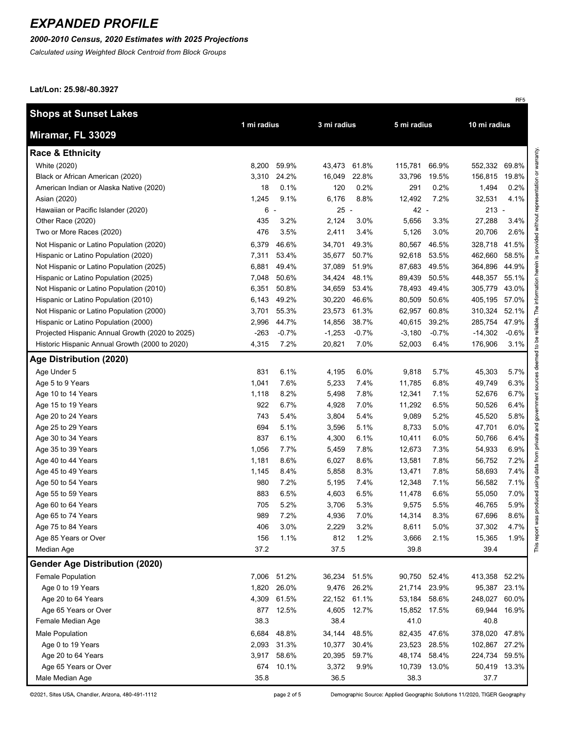### *2000-2010 Census, 2020 Estimates with 2025 Projections*

*Calculated using Weighted Block Centroid from Block Groups*

**Lat/Lon: 25.98/-80.3927**

| <b>Shops at Sunset Lakes</b>                    |             |         |              |             | 5 mi radius  |              |              | 10 mi radius |  |
|-------------------------------------------------|-------------|---------|--------------|-------------|--------------|--------------|--------------|--------------|--|
| Miramar, FL 33029                               | 1 mi radius |         | 3 mi radius  |             |              |              |              |              |  |
| <b>Race &amp; Ethnicity</b>                     |             |         |              |             |              |              |              |              |  |
| White (2020)                                    | 8,200       | 59.9%   | 43,473       | 61.8%       | 115,781      | 66.9%        | 552,332      | 69.8%        |  |
| Black or African American (2020)                | 3,310       | 24.2%   | 16,049       | 22.8%       | 33,796       | 19.5%        | 156,815      | 19.8%        |  |
| American Indian or Alaska Native (2020)         | 18          | 0.1%    | 120          | 0.2%        | 291          | 0.2%         | 1,494        | 0.2%         |  |
| Asian (2020)                                    | 1,245       | 9.1%    | 6,176        | 8.8%        | 12,492       | 7.2%         | 32,531       | 4.1%         |  |
| Hawaiian or Pacific Islander (2020)             | 6 -         |         | $25 -$       |             | 42 -         |              | $213 -$      |              |  |
| Other Race (2020)                               | 435         | 3.2%    | 2,124        | 3.0%        | 5,656        | 3.3%         | 27,288       | 3.4%         |  |
| Two or More Races (2020)                        | 476         | 3.5%    | 2,411        | 3.4%        | 5,126        | 3.0%         | 20,706       | 2.6%         |  |
| Not Hispanic or Latino Population (2020)        | 6,379       | 46.6%   | 34,701       | 49.3%       | 80,567       | 46.5%        | 328,718      | 41.5%        |  |
| Hispanic or Latino Population (2020)            | 7,311       | 53.4%   | 35,677       | 50.7%       | 92,618       | 53.5%        | 462,660      | 58.5%        |  |
| Not Hispanic or Latino Population (2025)        | 6,881       | 49.4%   | 37,089       | 51.9%       | 87,683       | 49.5%        | 364,896      | 44.9%        |  |
| Hispanic or Latino Population (2025)            | 7,048       | 50.6%   | 34,424       | 48.1%       | 89,439       | 50.5%        | 448,357      | 55.1%        |  |
| Not Hispanic or Latino Population (2010)        | 6,351       | 50.8%   | 34,659       | 53.4%       | 78,493       | 49.4%        | 305,779      | 43.0%        |  |
| Hispanic or Latino Population (2010)            | 6,143       | 49.2%   | 30,220       | 46.6%       | 80,509       | 50.6%        | 405,195      | 57.0%        |  |
| Not Hispanic or Latino Population (2000)        | 3,701       | 55.3%   | 23,573       | 61.3%       | 62,957       | 60.8%        | 310,324      | 52.1%        |  |
| Hispanic or Latino Population (2000)            | 2,996       | 44.7%   | 14,856       | 38.7%       | 40,615       | 39.2%        | 285,754      | 47.9%        |  |
| Projected Hispanic Annual Growth (2020 to 2025) | $-263$      | $-0.7%$ | $-1,253$     | $-0.7%$     | $-3,180$     | $-0.7%$      | $-14,302$    | $-0.6%$      |  |
| Historic Hispanic Annual Growth (2000 to 2020)  | 4,315       | 7.2%    | 20,821       | 7.0%        | 52,003       | 6.4%         | 176,906      | 3.1%         |  |
| Age Distribution (2020)                         |             |         |              |             |              |              |              |              |  |
| Age Under 5                                     | 831         | 6.1%    | 4,195        | 6.0%        | 9,818        | 5.7%         | 45,303       | 5.7%         |  |
| Age 5 to 9 Years                                | 1,041       | 7.6%    | 5,233        | 7.4%        | 11,785       | 6.8%         | 49,749       | 6.3%         |  |
| Age 10 to 14 Years                              | 1,118       | 8.2%    | 5,498        | 7.8%        | 12,341       | 7.1%         | 52,676       | 6.7%         |  |
| Age 15 to 19 Years                              | 922         | 6.7%    | 4,928        | 7.0%        | 11,292       | 6.5%         | 50,526       | 6.4%         |  |
| Age 20 to 24 Years                              | 743         | 5.4%    | 3,804        | 5.4%        | 9,089        | 5.2%         | 45,520       | 5.8%         |  |
| Age 25 to 29 Years                              | 694         | 5.1%    | 3,596        | 5.1%        | 8,733        | 5.0%         | 47,701       | 6.0%         |  |
| Age 30 to 34 Years                              | 837         | 6.1%    | 4,300        | 6.1%        | 10,411       | 6.0%         | 50,766       | 6.4%         |  |
| Age 35 to 39 Years                              | 1,056       | 7.7%    | 5,459        | 7.8%        | 12,673       | 7.3%         | 54,933       | 6.9%         |  |
| Age 40 to 44 Years                              | 1,181       | 8.6%    | 6,027        | 8.6%        | 13,581       | 7.8%         | 56,752       | 7.2%         |  |
| Age 45 to 49 Years                              | 1,145       | 8.4%    | 5,858        | 8.3%        | 13,471       | 7.8%         | 58,693       | 7.4%         |  |
| Age 50 to 54 Years                              | 980         | 7.2%    | 5,195        | 7.4%        | 12,348       | 7.1%         | 56,582       | 7.1%         |  |
| Age 55 to 59 Years                              | 883         | 6.5%    | 4,603        | 6.5%        | 11,478       | 6.6%         | 55,050       | 7.0%         |  |
| Age 60 to 64 Years                              | 705         | 5.2%    | 3,706        | 5.3%        | 9,575        | 5.5%         | 46,765       | 5.9%         |  |
| Age 65 to 74 Years                              | 989         | 7.2%    | 4,936        | 7.0%        | 14,314       | 8.3%         | 67,696       | 8.6%         |  |
| Age 75 to 84 Years                              | 406         | 3.0%    | 2,229        | 3.2%        | 8,611        | 5.0%         | 37,302       | 4.7%         |  |
| Age 85 Years or Over                            | 156         | 1.1%    | 812          | 1.2%        | 3,666        | 2.1%         | 15,365       | 1.9%         |  |
| Median Age                                      | 37.2        |         | 37.5         |             | 39.8         |              | 39.4         |              |  |
| <b>Gender Age Distribution (2020)</b>           |             |         |              |             |              |              |              |              |  |
| Female Population                               | 7,006       | 51.2%   | 36,234 51.5% |             | 90,750 52.4% |              | 413,358      | 52.2%        |  |
| Age 0 to 19 Years                               | 1,820       | 26.0%   |              | 9,476 26.2% | 21,714       | 23.9%        | 95,387       | 23.1%        |  |
| Age 20 to 64 Years                              | 4,309       | 61.5%   | 22,152 61.1% |             | 53,184       | 58.6%        | 248,027      | 60.0%        |  |
| Age 65 Years or Over                            | 877         | 12.5%   | 4,605        | 12.7%       |              | 15,852 17.5% | 69,944       | 16.9%        |  |
| Female Median Age                               | 38.3        |         | 38.4         |             | 41.0         |              | 40.8         |              |  |
| Male Population                                 | 6,684       | 48.8%   | 34,144       | 48.5%       | 82,435       | 47.6%        | 378,020      | 47.8%        |  |
| Age 0 to 19 Years                               | 2,093       | 31.3%   | 10,377       | 30.4%       | 23,523       | 28.5%        | 102,867      | 27.2%        |  |
| Age 20 to 64 Years                              | 3,917       | 58.6%   | 20,395       | 59.7%       |              | 48,174 58.4% | 224,734      | 59.5%        |  |
| Age 65 Years or Over                            | 674         | 10.1%   | 3,372        | 9.9%        |              | 10,739 13.0% | 50,419 13.3% |              |  |
| Male Median Age                                 | 35.8        |         | 36.5         |             | 38.3         |              | 37.7         |              |  |

page 2 of 5

Demographic Source: Applied Geographic Solutions 11/2020, TIGER Geography

RF5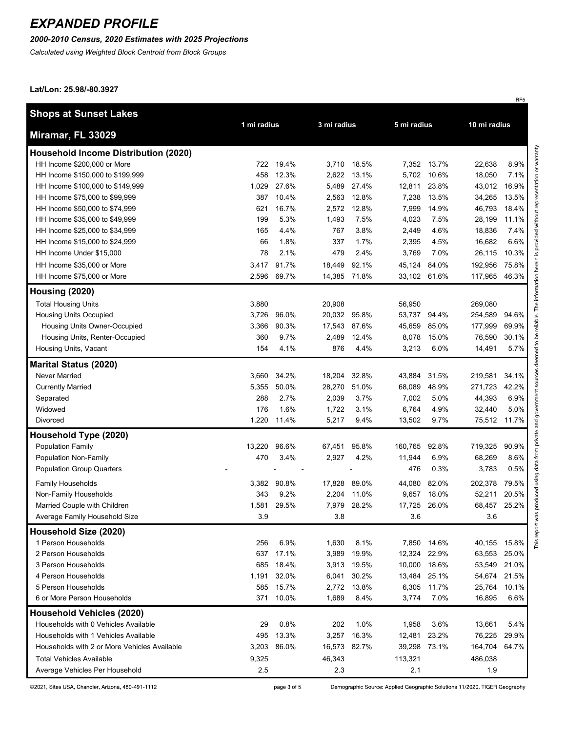#### *2000-2010 Census, 2020 Estimates with 2025 Projections*

*Calculated using Weighted Block Centroid from Block Groups*

**Lat/Lon: 25.98/-80.3927**

|                                              |        |             |              |             |         |             |         | RF <sub>5</sub> |
|----------------------------------------------|--------|-------------|--------------|-------------|---------|-------------|---------|-----------------|
| <b>Shops at Sunset Lakes</b>                 |        |             |              |             |         |             |         |                 |
|                                              |        | 1 mi radius |              | 3 mi radius |         | 5 mi radius |         | 10 mi radius    |
| Miramar, FL 33029                            |        |             |              |             |         |             |         |                 |
| <b>Household Income Distribution (2020)</b>  |        |             |              |             |         |             |         |                 |
| HH Income \$200,000 or More                  | 722    | 19.4%       |              | 3,710 18.5% |         | 7,352 13.7% | 22,638  | 8.9%            |
| HH Income \$150,000 to \$199,999             | 458    | 12.3%       | 2,622        | 13.1%       | 5,702   | 10.6%       | 18,050  | 7.1%            |
| HH Income \$100,000 to \$149,999             | 1,029  | 27.6%       | 5,489        | 27.4%       | 12,811  | 23.8%       | 43,012  | 16.9%           |
| HH Income \$75,000 to \$99,999               | 387    | 10.4%       | 2,563        | 12.8%       | 7,238   | 13.5%       | 34,265  | 13.5%           |
| HH Income \$50,000 to \$74,999               | 621    | 16.7%       | 2,572        | 12.8%       | 7,999   | 14.9%       | 46,793  | 18.4%           |
| HH Income \$35,000 to \$49,999               | 199    | 5.3%        | 1,493        | 7.5%        | 4,023   | 7.5%        | 28,199  | 11.1%           |
| HH Income \$25,000 to \$34,999               | 165    | 4.4%        | 767          | 3.8%        | 2,449   | 4.6%        | 18,836  | 7.4%            |
| HH Income \$15,000 to \$24,999               | 66     | 1.8%        | 337          | 1.7%        | 2,395   | 4.5%        | 16,682  | 6.6%            |
| HH Income Under \$15,000                     | 78     | 2.1%        | 479          | 2.4%        | 3,769   | 7.0%        | 26,115  | 10.3%           |
| HH Income \$35,000 or More                   | 3,417  | 91.7%       | 18,449       | 92.1%       | 45,124  | 84.0%       | 192,956 | 75.8%           |
| HH Income \$75,000 or More                   | 2,596  | 69.7%       | 14,385       | 71.8%       | 33,102  | 61.6%       | 117,965 | 46.3%           |
| Housing (2020)                               |        |             |              |             |         |             |         |                 |
| <b>Total Housing Units</b>                   | 3,880  |             | 20,908       |             | 56,950  |             | 269,080 |                 |
| <b>Housing Units Occupied</b>                | 3,726  | 96.0%       | 20,032 95.8% |             | 53,737  | 94.4%       | 254,589 | 94.6%           |
| Housing Units Owner-Occupied                 | 3,366  | 90.3%       | 17,543       | 87.6%       | 45,659  | 85.0%       | 177,999 | 69.9%           |
| Housing Units, Renter-Occupied               | 360    | 9.7%        | 2,489        | 12.4%       | 8,078   | 15.0%       | 76,590  | 30.1%           |
| Housing Units, Vacant                        | 154    | 4.1%        | 876          | 4.4%        | 3,213   | 6.0%        | 14,491  | 5.7%            |
| <b>Marital Status (2020)</b>                 |        |             |              |             |         |             |         |                 |
| Never Married                                | 3,660  | 34.2%       | 18,204       | 32.8%       | 43,884  | 31.5%       | 219,581 | 34.1%           |
| <b>Currently Married</b>                     | 5,355  | 50.0%       | 28,270       | 51.0%       | 68,089  | 48.9%       | 271,723 | 42.2%           |
| Separated                                    | 288    | 2.7%        | 2,039        | 3.7%        | 7,002   | 5.0%        | 44,393  | 6.9%            |
| Widowed                                      | 176    | 1.6%        | 1,722        | 3.1%        | 6,764   | 4.9%        | 32,440  | 5.0%            |
| Divorced                                     | 1,220  | 11.4%       | 5,217        | 9.4%        | 13,502  | 9.7%        | 75,512  | 11.7%           |
| Household Type (2020)                        |        |             |              |             |         |             |         |                 |
| <b>Population Family</b>                     | 13,220 | 96.6%       | 67,451 95.8% |             | 160,765 | 92.8%       | 719,325 | 90.9%           |
| <b>Population Non-Family</b>                 | 470    | 3.4%        | 2,927        | 4.2%        | 11,944  | 6.9%        | 68,269  | 8.6%            |
| <b>Population Group Quarters</b>             |        |             |              |             | 476     | 0.3%        | 3,783   | 0.5%            |
|                                              |        |             |              |             |         |             |         |                 |
| <b>Family Households</b>                     | 3,382  | 90.8%       | 17,828       | 89.0%       | 44,080  | 82.0%       | 202,378 | 79.5%           |
| Non-Family Households                        | 343    | 9.2%        | 2,204        | 11.0%       | 9,657   | 18.0%       | 52,211  | 20.5%           |
| Married Couple with Children                 | 1,581  | 29.5%       |              | 7,979 28.2% | 17,725  | 26.0%       | 68,457  | 25.2%           |
| Average Family Household Size                | 3.9    |             | 3.8          |             | 3.6     |             | 3.6     |                 |
| Household Size (2020)                        |        |             |              |             |         |             |         |                 |
| 1 Person Households                          | 256    | 6.9%        | 1,630        | 8.1%        | 7,850   | 14.6%       | 40,155  | 15.8%           |
| 2 Person Households                          | 637    | 17.1%       | 3,989        | 19.9%       | 12,324  | 22.9%       | 63,553  | 25.0%           |
| 3 Person Households                          | 685    | 18.4%       | 3,913        | 19.5%       | 10,000  | 18.6%       | 53,549  | 21.0%           |
| 4 Person Households                          | 1,191  | 32.0%       | 6,041        | 30.2%       | 13,484  | 25.1%       | 54,674  | 21.5%           |
| 5 Person Households                          | 585    | 15.7%       | 2,772        | 13.8%       | 6,305   | 11.7%       | 25,764  | 10.1%           |
| 6 or More Person Households                  | 371    | 10.0%       | 1,689        | 8.4%        | 3,774   | 7.0%        | 16,895  | 6.6%            |
| <b>Household Vehicles (2020)</b>             |        |             |              |             |         |             |         |                 |
| Households with 0 Vehicles Available         | 29     | 0.8%        | 202          | 1.0%        | 1,958   | 3.6%        | 13,661  | 5.4%            |
| Households with 1 Vehicles Available         | 495    | 13.3%       | 3,257        | 16.3%       | 12,481  | 23.2%       | 76,225  | 29.9%           |
| Households with 2 or More Vehicles Available | 3,203  | 86.0%       | 16,573       | 82.7%       | 39,298  | 73.1%       | 164,704 | 64.7%           |
| <b>Total Vehicles Available</b>              | 9,325  |             | 46,343       |             | 113,321 |             | 486,038 |                 |
| Average Vehicles Per Household               | 2.5    |             | 2.3          |             | 2.1     |             | 1.9     |                 |

This report was produced using data from private and government sources deemed to be reliable. The information herein is provided without representation or warranty.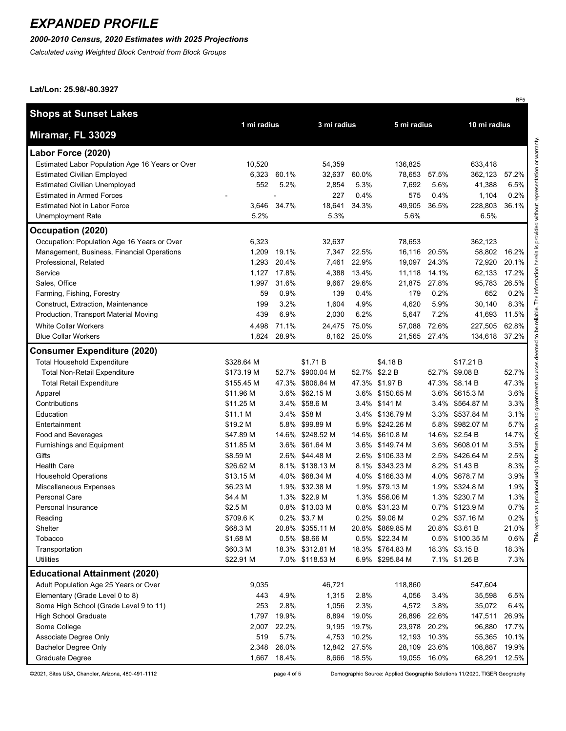### *2000-2010 Census, 2020 Estimates with 2025 Projections*

*Calculated using Weighted Block Centroid from Block Groups*

#### **Lat/Lon: 25.98/-80.3927**

|                                                 |             |       |                  |             |                  |              |                 | RF <sub>5</sub> |
|-------------------------------------------------|-------------|-------|------------------|-------------|------------------|--------------|-----------------|-----------------|
| <b>Shops at Sunset Lakes</b>                    |             |       |                  |             |                  |              |                 |                 |
|                                                 | 1 mi radius |       | 3 mi radius      |             | 5 mi radius      |              | 10 mi radius    |                 |
| Miramar, FL 33029                               |             |       |                  |             |                  |              |                 |                 |
| Labor Force (2020)                              |             |       |                  |             |                  |              |                 |                 |
| Estimated Labor Population Age 16 Years or Over | 10,520      |       | 54,359           |             | 136,825          |              | 633,418         |                 |
| <b>Estimated Civilian Employed</b>              | 6,323       | 60.1% | 32,637           | 60.0%       | 78,653           | 57.5%        | 362,123         | 57.2%           |
| <b>Estimated Civilian Unemployed</b>            | 552         | 5.2%  | 2,854            | 5.3%        | 7,692            | 5.6%         | 41,388          | 6.5%            |
| <b>Estimated in Armed Forces</b>                |             |       | 227              | 0.4%        | 575              | 0.4%         | 1,104           | 0.2%            |
| <b>Estimated Not in Labor Force</b>             | 3,646       | 34.7% | 18,641           | 34.3%       | 49,905           | 36.5%        | 228,803         | 36.1%           |
| <b>Unemployment Rate</b>                        | 5.2%        |       | 5.3%             |             | 5.6%             |              | 6.5%            |                 |
| Occupation (2020)                               |             |       |                  |             |                  |              |                 |                 |
| Occupation: Population Age 16 Years or Over     | 6,323       |       | 32,637           |             | 78,653           |              | 362,123         |                 |
| Management, Business, Financial Operations      | 1,209       | 19.1% | 7,347            | 22.5%       | 16,116           | 20.5%        | 58,802          | 16.2%           |
| Professional, Related                           | 1,293       | 20.4% | 7,461            | 22.9%       |                  | 19,097 24.3% | 72,920          | 20.1%           |
| Service                                         | 1,127       | 17.8% | 4,388            | 13.4%       | 11,118           | 14.1%        | 62,133          | 17.2%           |
| Sales, Office                                   | 1,997       | 31.6% | 9,667            | 29.6%       | 21,875           | 27.8%        | 95,783          | 26.5%           |
| Farming, Fishing, Forestry                      | 59          | 0.9%  | 139              | 0.4%        | 179              | 0.2%         | 652             | 0.2%            |
| Construct, Extraction, Maintenance              | 199         | 3.2%  | 1,604            | 4.9%        | 4,620            | 5.9%         | 30,140          | 8.3%            |
| Production, Transport Material Moving           | 439         | 6.9%  | 2,030            | 6.2%        | 5,647            | 7.2%         | 41,693          | 11.5%           |
| <b>White Collar Workers</b>                     | 4,498       | 71.1% | 24,475           | 75.0%       | 57,088           | 72.6%        | 227,505         | 62.8%           |
| <b>Blue Collar Workers</b>                      | 1,824       | 28.9% |                  | 8,162 25.0% | 21,565           | 27.4%        | 134,618         | 37.2%           |
| <b>Consumer Expenditure (2020)</b>              |             |       |                  |             |                  |              |                 |                 |
| <b>Total Household Expenditure</b>              | \$328.64 M  |       | \$1.71 B         |             | \$4.18 B         |              | \$17.21 B       |                 |
| <b>Total Non-Retail Expenditure</b>             | \$173.19 M  | 52.7% | \$900.04 M       | 52.7%       | \$2.2 B          | 52.7%        | \$9.08 B        | 52.7%           |
| <b>Total Retail Expenditure</b>                 | \$155.45 M  |       | 47.3% \$806.84 M |             | 47.3% \$1.97 B   | 47.3%        | \$8.14 B        | 47.3%           |
| Apparel                                         | \$11.96 M   | 3.6%  | \$62.15 M        | $3.6\%$     | \$150.65 M       | 3.6%         | \$615.3 M       | 3.6%            |
| Contributions                                   | \$11.25 M   | 3.4%  | \$58.6 M         |             | 3.4% \$141 M     | 3.4%         | \$564.87 M      | 3.3%            |
| Education                                       | \$11.1 M    |       | 3.4% \$58 M      |             | 3.4% \$136.79 M  | $3.3\%$      | \$537.84 M      | 3.1%            |
| Entertainment                                   | \$19.2 M    |       | 5.8% \$99.89 M   |             | 5.9% \$242.26 M  | 5.8%         | \$982.07 M      | 5.7%            |
| Food and Beverages                              | \$47.89 M   |       | 14.6% \$248.52 M |             | 14.6% \$610.8 M  | 14.6%        | \$2.54 B        | 14.7%           |
| Furnishings and Equipment                       | \$11.85 M   |       | 3.6% \$61.64 M   |             | 3.6% \$149.74 M  | 3.6%         | \$608.01 M      | 3.5%            |
| Gifts                                           | \$8.59 M    |       | 2.6% \$44.48 M   |             | 2.6% \$106.33 M  | 2.5%         | \$426.64 M      | 2.5%            |
| <b>Health Care</b>                              | \$26.62 M   |       | 8.1% \$138.13 M  |             | 8.1% \$343.23 M  | 8.2%         | \$1.43 B        | 8.3%            |
| <b>Household Operations</b>                     | \$13.15 M   |       | 4.0% \$68.34 M   |             | 4.0% \$166.33 M  | 4.0%         | \$678.7 M       | 3.9%            |
| Miscellaneous Expenses                          | \$6.23 M    |       | 1.9% \$32.38 M   |             | 1.9% \$79.13 M   |              | 1.9% \$324.8 M  | 1.9%            |
| Personal Care                                   | \$4.4 M     |       | 1.3% \$22.9 M    |             | 1.3% \$56.06 M   |              | 1.3% \$230.7 M  | 1.3%            |
| Personal Insurance                              | \$2.5 M     |       | 0.8% \$13.03 M   |             | 0.8% \$31.23 M   |              | 0.7% \$123.9 M  | 0.7%            |
| Reading                                         | \$709.6K    |       | 0.2% \$3.7 M     |             | 0.2% \$9.06 M    |              | 0.2% \$37.16 M  | 0.2%            |
| Shelter                                         | \$68.3 M    |       | 20.8% \$355.11 M |             | 20.8% \$869.85 M |              | 20.8% \$3.61 B  | 21.0%           |
| Tobacco                                         | \$1.68 M    |       | 0.5% \$8.66 M    |             | 0.5% \$22.34 M   |              | 0.5% \$100.35 M | 0.6%            |
| Transportation                                  | \$60.3 M    |       | 18.3% \$312.81 M |             | 18.3% \$764.83 M |              | 18.3% \$3.15 B  | 18.3%           |
| Utilities                                       | \$22.91 M   |       | 7.0% \$118.53 M  |             | 6.9% \$295.84 M  |              | 7.1% \$1.26 B   | 7.3%            |
| <b>Educational Attainment (2020)</b>            |             |       |                  |             |                  |              |                 |                 |
| Adult Population Age 25 Years or Over           | 9,035       |       | 46,721           |             | 118,860          |              | 547,604         |                 |
| Elementary (Grade Level 0 to 8)                 | 443         | 4.9%  | 1,315            | 2.8%        | 4,056            | 3.4%         | 35,598          | 6.5%            |
| Some High School (Grade Level 9 to 11)          | 253         | 2.8%  | 1,056            | 2.3%        | 4,572            | 3.8%         | 35,072          | 6.4%            |
| <b>High School Graduate</b>                     | 1,797       | 19.9% | 8,894            | 19.0%       | 26,896           | 22.6%        | 147,511         | 26.9%           |
| Some College                                    | 2,007       | 22.2% | 9,195            | 19.7%       | 23,978 20.2%     |              | 96,880          | 17.7%           |
| Associate Degree Only                           | 519         | 5.7%  | 4,753            | 10.2%       | 12,193           | 10.3%        | 55,365          | 10.1%           |
| Bachelor Degree Only                            | 2,348       | 26.0% | 12,842           | 27.5%       | 28,109           | 23.6%        | 108,887         | 19.9%           |
| Graduate Degree                                 | 1,667       | 18.4% | 8,666            | 18.5%       | 19,055           | 16.0%        | 68,291          | 12.5%           |

©2021, Sites USA, Chandler, Arizona, 480-491-1112

page 4 of 5